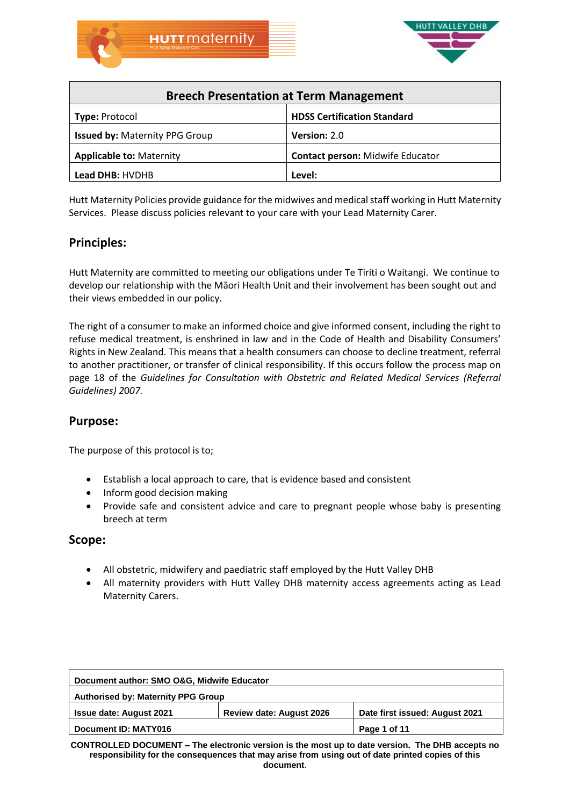



| <b>Breech Presentation at Term Management</b> |                                         |  |
|-----------------------------------------------|-----------------------------------------|--|
| <b>Type: Protocol</b>                         | <b>HDSS Certification Standard</b>      |  |
| <b>Issued by: Maternity PPG Group</b>         | Version: 2.0                            |  |
| <b>Applicable to: Maternity</b>               | <b>Contact person: Midwife Educator</b> |  |
| Lead DHB: HVDHB                               | Level:                                  |  |

Hutt Maternity Policies provide guidance for the midwives and medical staff working in Hutt Maternity Services. Please discuss policies relevant to your care with your Lead Maternity Carer.

# **Principles:**

Hutt Maternity are committed to meeting our obligations under Te Tiriti o Waitangi. We continue to develop our relationship with the Māori Health Unit and their involvement has been sought out and their views embedded in our policy.

The right of a consumer to make an informed choice and give informed consent, including the right to refuse medical treatment, is enshrined in law and in the Code of Health and Disability Consumers' Rights in New Zealand. This means that a health consumers can choose to decline treatment, referral to another practitioner, or transfer of clinical responsibility. If this occurs follow the process map on page 18 of the *Guidelines for Consultation with Obstetric and Related Medical Services (Referral Guidelines) 2*0*07.*

## **Purpose:**

The purpose of this protocol is to;

- Establish a local approach to care, that is evidence based and consistent
- Inform good decision making
- Provide safe and consistent advice and care to pregnant people whose baby is presenting breech at term

### **Scope:**

- All obstetric, midwifery and paediatric staff employed by the Hutt Valley DHB
- All maternity providers with Hutt Valley DHB maternity access agreements acting as Lead Maternity Carers.

| Document author: SMO O&G, Midwife Educator |                                 |                                |
|--------------------------------------------|---------------------------------|--------------------------------|
| <b>Authorised by: Maternity PPG Group</b>  |                                 |                                |
| <b>Issue date: August 2021</b>             | <b>Review date: August 2026</b> | Date first issued: August 2021 |
| Document ID: MATY016                       |                                 | Page 1 of 11                   |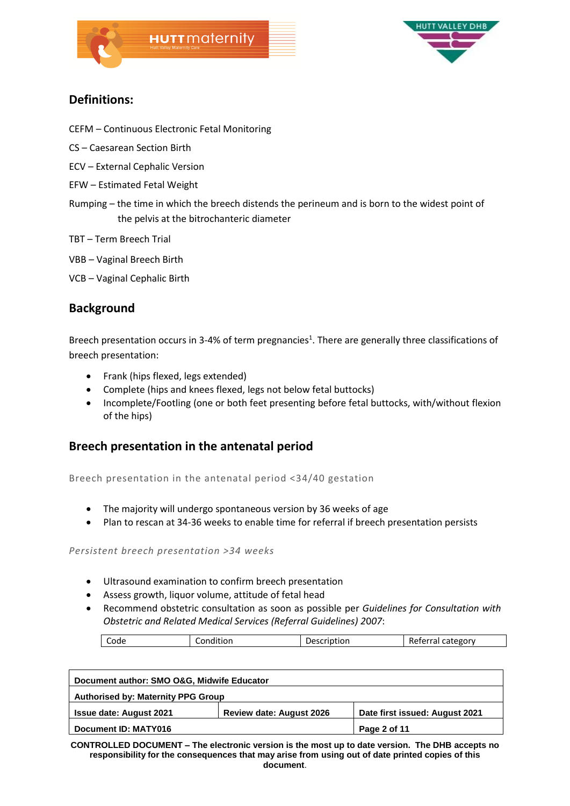



# **Definitions:**

- CEFM Continuous Electronic Fetal Monitoring
- CS Caesarean Section Birth
- ECV External Cephalic Version
- EFW Estimated Fetal Weight
- Rumping the time in which the breech distends the perineum and is born to the widest point of the pelvis at the bitrochanteric diameter
- TBT Term Breech Trial
- VBB Vaginal Breech Birth
- VCB Vaginal Cephalic Birth

## **Background**

Breech presentation occurs in 3-4% of term pregnancies<sup>1</sup>. There are generally three classifications of breech presentation:

- Frank (hips flexed, legs extended)
- Complete (hips and knees flexed, legs not below fetal buttocks)
- Incomplete/Footling (one or both feet presenting before fetal buttocks, with/without flexion of the hips)

# **Breech presentation in the antenatal period**

Breech presentation in the antenatal period <34/40 gestation

- The majority will undergo spontaneous version by 36 weeks of age
- Plan to rescan at 34-36 weeks to enable time for referral if breech presentation persists

### *Persistent breech presentation >34 weeks*

- Ultrasound examination to confirm breech presentation
- Assess growth, liquor volume, attitude of fetal head
- Recommend obstetric consultation as soon as possible per *Guidelines for Consultation with Obstetric and Related Medical Services (Referral Guidelines) 2*0*07*:

|  |  | ode | .<br>וטווי. | $-1$<br>∘ ص (<br>ווטי | Lategory<br>.<br>.<br>"ו כ |
|--|--|-----|-------------|-----------------------|----------------------------|
|--|--|-----|-------------|-----------------------|----------------------------|

| Document author: SMO O&G, Midwife Educator |                                 |                                |
|--------------------------------------------|---------------------------------|--------------------------------|
| <b>Authorised by: Maternity PPG Group</b>  |                                 |                                |
| <b>Issue date: August 2021</b>             | <b>Review date: August 2026</b> | Date first issued: August 2021 |
| Document ID: MATY016                       |                                 | Page 2 of 11                   |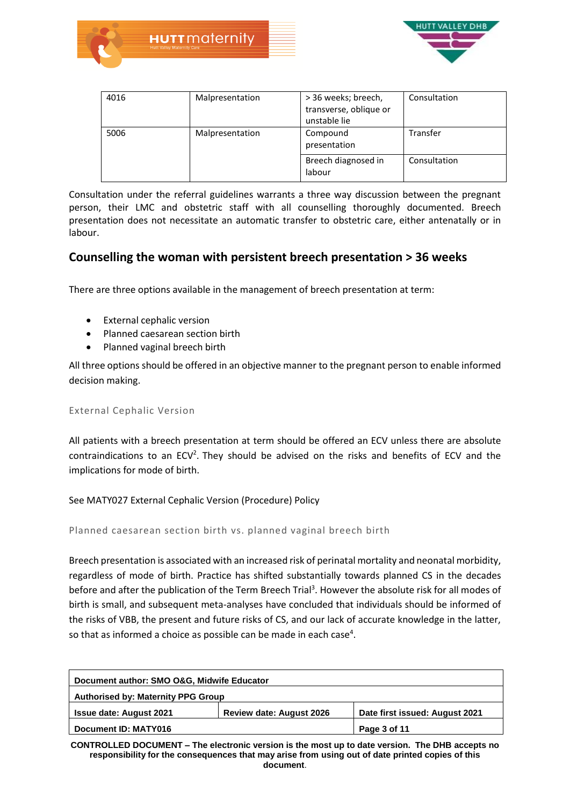



| 4016 | Malpresentation | > 36 weeks; breech,<br>transverse, oblique or<br>unstable lie | Consultation |
|------|-----------------|---------------------------------------------------------------|--------------|
| 5006 | Malpresentation | Compound<br>presentation                                      | Transfer     |
|      |                 | Breech diagnosed in<br>labour                                 | Consultation |

Consultation under the referral guidelines warrants a three way discussion between the pregnant person, their LMC and obstetric staff with all counselling thoroughly documented. Breech presentation does not necessitate an automatic transfer to obstetric care, either antenatally or in labour.

## **Counselling the woman with persistent breech presentation > 36 weeks**

There are three options available in the management of breech presentation at term:

- External cephalic version
- Planned caesarean section birth
- Planned vaginal breech birth

All three options should be offered in an objective manner to the pregnant person to enable informed decision making.

### External Cephalic Version

All patients with a breech presentation at term should be offered an ECV unless there are absolute contraindications to an  $ECV<sup>2</sup>$ . They should be advised on the risks and benefits of ECV and the implications for mode of birth.

### See MATY027 External Cephalic Version (Procedure) Policy

Planned caesarean section birth vs. planned vaginal breech birth

Breech presentation is associated with an increased risk of perinatal mortality and neonatal morbidity, regardless of mode of birth. Practice has shifted substantially towards planned CS in the decades before and after the publication of the Term Breech Trial<sup>3</sup>. However the absolute risk for all modes of birth is small, and subsequent meta-analyses have concluded that individuals should be informed of the risks of VBB, the present and future risks of CS, and our lack of accurate knowledge in the latter, so that as informed a choice as possible can be made in each case<sup>4</sup>.

| Document author: SMO O&G, Midwife Educator |                                 |                                |
|--------------------------------------------|---------------------------------|--------------------------------|
| <b>Authorised by: Maternity PPG Group</b>  |                                 |                                |
| <b>Issue date: August 2021</b>             | <b>Review date: August 2026</b> | Date first issued: August 2021 |
| Document ID: MATY016                       |                                 | Page 3 of 11                   |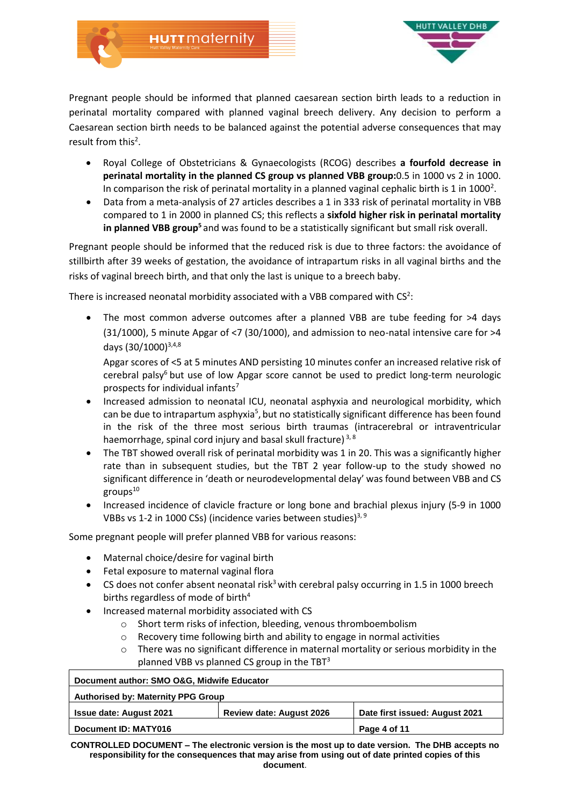

Pregnant people should be informed that planned caesarean section birth leads to a reduction in perinatal mortality compared with planned vaginal breech delivery. Any decision to perform a Caesarean section birth needs to be balanced against the potential adverse consequences that may result from this<sup>2</sup>.

- Royal College of Obstetricians & Gynaecologists (RCOG) describes **a fourfold decrease in perinatal mortality in the planned CS group vs planned VBB group:**0.5 in 1000 vs 2 in 1000. In comparison the risk of perinatal mortality in a planned vaginal cephalic birth is 1 in 1000<sup>2</sup>.
- Data from a meta-analysis of 27 articles describes a 1 in 333 risk of perinatal mortality in VBB compared to 1 in 2000 in planned CS; this reflects a **sixfold higher risk in perinatal mortality in planned VBB group<sup>5</sup>**and was found to be a statistically significant but small risk overall.

Pregnant people should be informed that the reduced risk is due to three factors: the avoidance of stillbirth after 39 weeks of gestation, the avoidance of intrapartum risks in all vaginal births and the risks of vaginal breech birth, and that only the last is unique to a breech baby.

There is increased neonatal morbidity associated with a VBB compared with  $CS<sup>2</sup>$ :

• The most common adverse outcomes after a planned VBB are tube feeding for >4 days (31/1000), 5 minute Apgar of <7 (30/1000), and admission to neo-natal intensive care for >4 days (30/1000)<sup>3,4,8</sup>

Apgar scores of <5 at 5 minutes AND persisting 10 minutes confer an increased relative risk of cerebral palsy $6$  but use of low Apgar score cannot be used to predict long-term neurologic prospects for individual infants<sup>7</sup>

- Increased admission to neonatal ICU, neonatal asphyxia and neurological morbidity, which can be due to intrapartum asphyxia<sup>5</sup>, but no statistically significant difference has been found in the risk of the three most serious birth traumas (intracerebral or intraventricular haemorrhage, spinal cord injury and basal skull fracture)<sup>3,8</sup>
- The TBT showed overall risk of perinatal morbidity was 1 in 20. This was a significantly higher rate than in subsequent studies, but the TBT 2 year follow-up to the study showed no significant difference in 'death or neurodevelopmental delay' was found between VBB and CS  $groups<sup>10</sup>$
- Increased incidence of clavicle fracture or long bone and brachial plexus injury (5-9 in 1000 VBBs vs 1-2 in 1000 CSs) (incidence varies between studies)<sup>3, 9</sup>

Some pregnant people will prefer planned VBB for various reasons:

- Maternal choice/desire for vaginal birth
- Fetal exposure to maternal vaginal flora
- CS does not confer absent neonatal risk<sup>3</sup> with cerebral palsy occurring in 1.5 in 1000 breech births regardless of mode of birth<sup>4</sup>
- Increased maternal morbidity associated with CS
	- o Short term risks of infection, bleeding, venous thromboembolism
	- o Recovery time following birth and ability to engage in normal activities
	- $\circ$  There was no significant difference in maternal mortality or serious morbidity in the planned VBB vs planned CS group in the  $TBT^3$

| Document author: SMO O&G, Midwife Educator |                                 |                                |
|--------------------------------------------|---------------------------------|--------------------------------|
| <b>Authorised by: Maternity PPG Group</b>  |                                 |                                |
| <b>Issue date: August 2021</b>             | <b>Review date: August 2026</b> | Date first issued: August 2021 |
| Document ID: MATY016                       |                                 | Page 4 of 11                   |
|                                            |                                 |                                |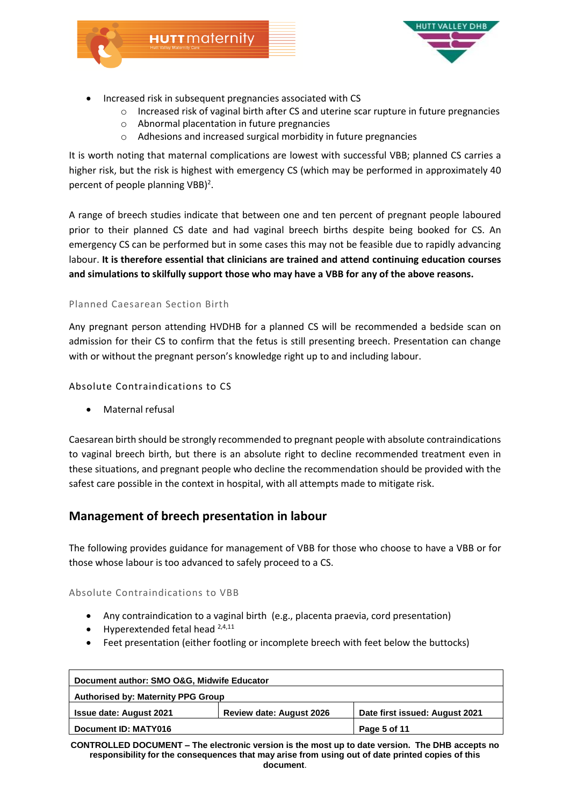





- Increased risk in subsequent pregnancies associated with CS
	- o Increased risk of vaginal birth after CS and uterine scar rupture in future pregnancies
	- o Abnormal placentation in future pregnancies
	- o Adhesions and increased surgical morbidity in future pregnancies

It is worth noting that maternal complications are lowest with successful VBB; planned CS carries a higher risk, but the risk is highest with emergency CS (which may be performed in approximately 40 percent of people planning  $VBB$ <sup>2</sup>.

A range of breech studies indicate that between one and ten percent of pregnant people laboured prior to their planned CS date and had vaginal breech births despite being booked for CS. An emergency CS can be performed but in some cases this may not be feasible due to rapidly advancing labour. **It is therefore essential that clinicians are trained and attend continuing education courses and simulations to skilfully support those who may have a VBB for any of the above reasons.**

### Planned Caesarean Section Birth

Any pregnant person attending HVDHB for a planned CS will be recommended a bedside scan on admission for their CS to confirm that the fetus is still presenting breech. Presentation can change with or without the pregnant person's knowledge right up to and including labour.

Absolute Contraindications to CS

Maternal refusal

Caesarean birth should be strongly recommended to pregnant people with absolute contraindications to vaginal breech birth, but there is an absolute right to decline recommended treatment even in these situations, and pregnant people who decline the recommendation should be provided with the safest care possible in the context in hospital, with all attempts made to mitigate risk.

# **Management of breech presentation in labour**

The following provides guidance for management of VBB for those who choose to have a VBB or for those whose labour is too advanced to safely proceed to a CS.

Absolute Contraindications to VBB

- Any contraindication to a vaginal birth (e.g., placenta praevia, cord presentation)
- $\bullet$  Hyperextended fetal head  $^{2,4,11}$
- Feet presentation (either footling or incomplete breech with feet below the buttocks)

| Document author: SMO O&G, Midwife Educator |                                 |                                |
|--------------------------------------------|---------------------------------|--------------------------------|
| <b>Authorised by: Maternity PPG Group</b>  |                                 |                                |
| <b>Issue date: August 2021</b>             | <b>Review date: August 2026</b> | Date first issued: August 2021 |
| Document ID: MATY016                       |                                 | Page 5 of 11                   |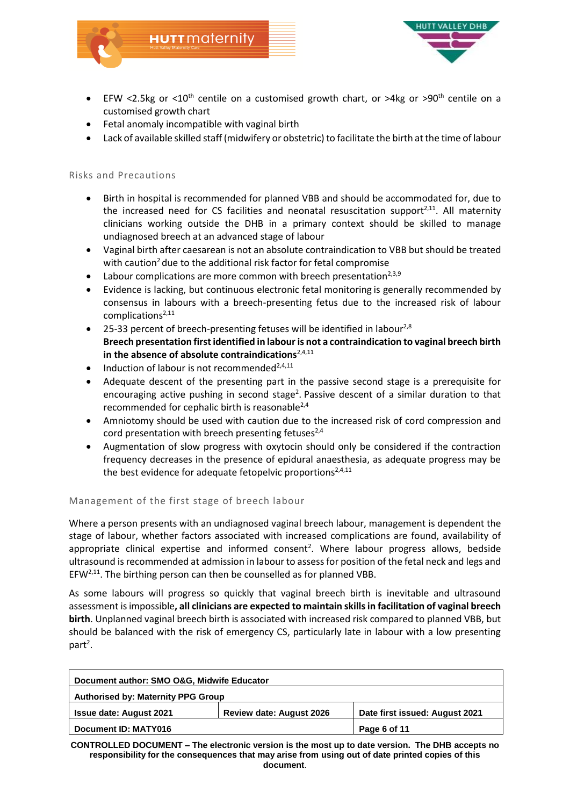



- EFW <2.5kg or <10<sup>th</sup> centile on a customised growth chart, or >4kg or >90<sup>th</sup> centile on a customised growth chart
- Fetal anomaly incompatible with vaginal birth
- Lack of available skilled staff (midwifery or obstetric) to facilitate the birth at the time of labour

### Risks and Precautions

- Birth in hospital is recommended for planned VBB and should be accommodated for, due to the increased need for CS facilities and neonatal resuscitation support<sup>2,11</sup>. All maternity clinicians working outside the DHB in a primary context should be skilled to manage undiagnosed breech at an advanced stage of labour
- Vaginal birth after caesarean is not an absolute contraindication to VBB but should be treated with caution<sup>2</sup> due to the additional risk factor for fetal compromise
- Labour complications are more common with breech presentation<sup>2,3,9</sup>
- Evidence is lacking, but continuous electronic fetal monitoring is generally recommended by consensus in labours with a breech-presenting fetus due to the increased risk of labour complications $2,11$
- 25-33 percent of breech-presenting fetuses will be identified in labour<sup>2,8</sup> **Breech presentation first identified in labour is not a contraindication to vaginal breech birth** in the absence of absolute contraindications<sup>2,4,11</sup>
- $\bullet$  Induction of labour is not recommended<sup>2,4,11</sup>
- Adequate descent of the presenting part in the passive second stage is a prerequisite for encouraging active pushing in second stage<sup>2</sup>. Passive descent of a similar duration to that recommended for cephalic birth is reasonable $^{2,4}$
- Amniotomy should be used with caution due to the increased risk of cord compression and cord presentation with breech presenting fetuses $^{2,4}$
- Augmentation of slow progress with oxytocin should only be considered if the contraction frequency decreases in the presence of epidural anaesthesia, as adequate progress may be the best evidence for adequate fetopelvic proportions<sup>2,4,11</sup>

### Management of the first stage of breech labour

Where a person presents with an undiagnosed vaginal breech labour, management is dependent the stage of labour, whether factors associated with increased complications are found, availability of appropriate clinical expertise and informed consent<sup>2</sup>. Where labour progress allows, bedside ultrasound is recommended at admission in labour to assess for position of the fetal neck and legs and  $EFW<sup>2,11</sup>$ . The birthing person can then be counselled as for planned VBB.

As some labours will progress so quickly that vaginal breech birth is inevitable and ultrasound assessment is impossible**, all clinicians are expected to maintain skills in facilitation of vaginal breech birth**. Unplanned vaginal breech birth is associated with increased risk compared to planned VBB, but should be balanced with the risk of emergency CS, particularly late in labour with a low presenting part<sup>2</sup>.

| Document author: SMO O&G, Midwife Educator |                                 |                                |
|--------------------------------------------|---------------------------------|--------------------------------|
| <b>Authorised by: Maternity PPG Group</b>  |                                 |                                |
| <b>Issue date: August 2021</b>             | <b>Review date: August 2026</b> | Date first issued: August 2021 |
| Document ID: MATY016                       |                                 | Page 6 of 11                   |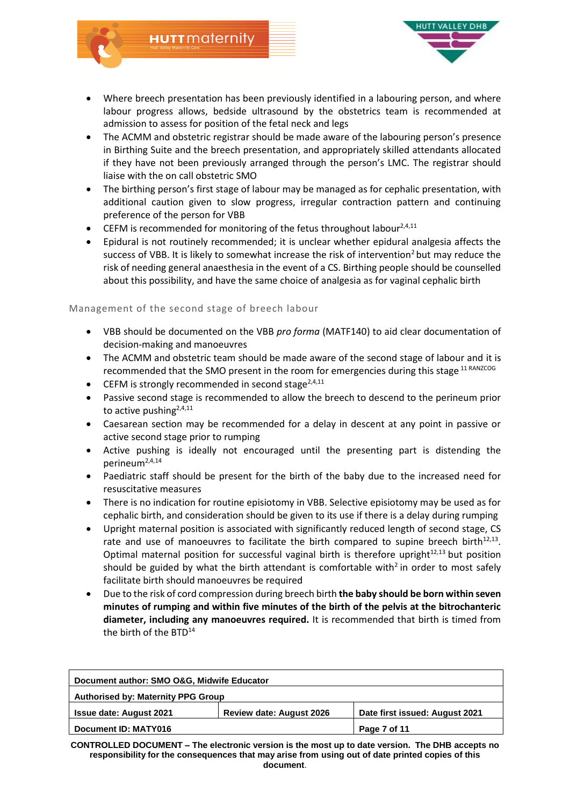



- Where breech presentation has been previously identified in a labouring person, and where labour progress allows, bedside ultrasound by the obstetrics team is recommended at admission to assess for position of the fetal neck and legs
- The ACMM and obstetric registrar should be made aware of the labouring person's presence in Birthing Suite and the breech presentation, and appropriately skilled attendants allocated if they have not been previously arranged through the person's LMC. The registrar should liaise with the on call obstetric SMO
- The birthing person's first stage of labour may be managed as for cephalic presentation, with additional caution given to slow progress, irregular contraction pattern and continuing preference of the person for VBB
- CEFM is recommended for monitoring of the fetus throughout labour<sup>2,4,11</sup>
- Epidural is not routinely recommended; it is unclear whether epidural analgesia affects the success of VBB. It is likely to somewhat increase the risk of intervention<sup>2</sup> but may reduce the risk of needing general anaesthesia in the event of a CS. Birthing people should be counselled about this possibility, and have the same choice of analgesia as for vaginal cephalic birth

### Management of the second stage of breech labour

- VBB should be documented on the VBB *pro forma* (MATF140) to aid clear documentation of decision-making and manoeuvres
- The ACMM and obstetric team should be made aware of the second stage of labour and it is recommended that the SMO present in the room for emergencies during this stage 11 RANZCOG
- CEFM is strongly recommended in second stage<sup>2,4,11</sup>
- Passive second stage is recommended to allow the breech to descend to the perineum prior to active pushing<sup>2,4,11</sup>
- Caesarean section may be recommended for a delay in descent at any point in passive or active second stage prior to rumping
- Active pushing is ideally not encouraged until the presenting part is distending the perineum2,4,14
- Paediatric staff should be present for the birth of the baby due to the increased need for resuscitative measures
- There is no indication for routine episiotomy in VBB. Selective episiotomy may be used as for cephalic birth, and consideration should be given to its use if there is a delay during rumping
- Upright maternal position is associated with significantly reduced length of second stage, CS rate and use of manoeuvres to facilitate the birth compared to supine breech birth $12,13$ . Optimal maternal position for successful vaginal birth is therefore upright $12,13$  but position should be guided by what the birth attendant is comfortable with<sup>2</sup> in order to most safely facilitate birth should manoeuvres be required
- Due to the risk of cord compression during breech birth **the baby should be born within seven minutes of rumping and within five minutes of the birth of the pelvis at the bitrochanteric diameter, including any manoeuvres required.** It is recommended that birth is timed from the birth of the  $BTD^{14}$

| Document author: SMO O&G, Midwife Educator |                                 |                                |
|--------------------------------------------|---------------------------------|--------------------------------|
| <b>Authorised by: Maternity PPG Group</b>  |                                 |                                |
| <b>Issue date: August 2021</b>             | <b>Review date: August 2026</b> | Date first issued: August 2021 |
| Document ID: MATY016                       |                                 | Page 7 of 11                   |
|                                            |                                 |                                |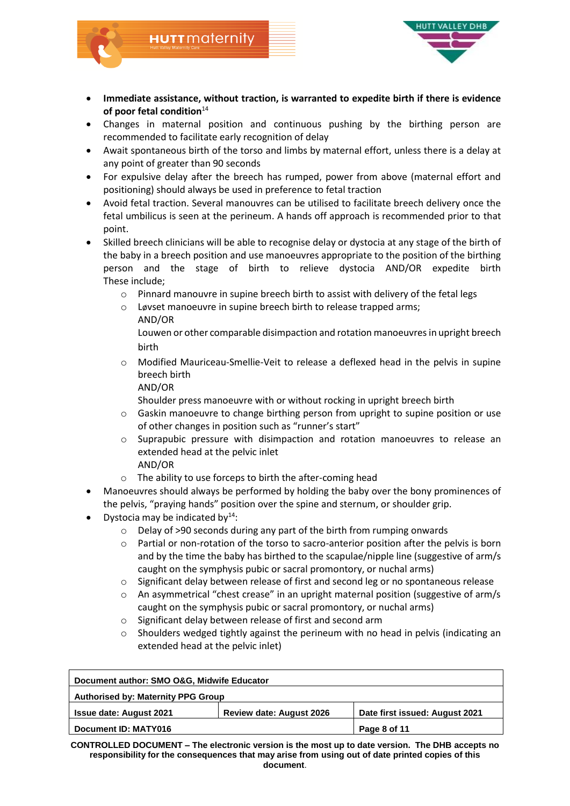

 **Immediate assistance, without traction, is warranted to expedite birth if there is evidence**  of poor fetal condition<sup>14</sup>

**HUTT** maternity

- Changes in maternal position and continuous pushing by the birthing person are recommended to facilitate early recognition of delay
- Await spontaneous birth of the torso and limbs by maternal effort, unless there is a delay at any point of greater than 90 seconds
- For expulsive delay after the breech has rumped, power from above (maternal effort and positioning) should always be used in preference to fetal traction
- Avoid fetal traction. Several manouvres can be utilised to facilitate breech delivery once the fetal umbilicus is seen at the perineum. A hands off approach is recommended prior to that point.
- Skilled breech clinicians will be able to recognise delay or dystocia at any stage of the birth of the baby in a breech position and use manoeuvres appropriate to the position of the birthing person and the stage of birth to relieve dystocia AND/OR expedite birth These include;
	- o Pinnard manouvre in supine breech birth to assist with delivery of the fetal legs
	- o Løvset manoeuvre in supine breech birth to release trapped arms; AND/OR

Louwen or other comparable disimpaction and rotation manoeuvresin upright breech birth

- Modified Mauriceau-Smellie-Veit to release a deflexed head in the pelvis in supine breech birth
	- AND/OR

Shoulder press manoeuvre with or without rocking in upright breech birth

- o Gaskin manoeuvre to change birthing person from upright to supine position or use of other changes in position such as "runner's start"
- o Suprapubic pressure with disimpaction and rotation manoeuvres to release an extended head at the pelvic inlet AND/OR
- o The ability to use forceps to birth the after-coming head
- Manoeuvres should always be performed by holding the baby over the bony prominences of the pelvis, "praying hands" position over the spine and sternum, or shoulder grip.
- Dystocia may be indicated by $14$ :
	- o Delay of >90 seconds during any part of the birth from rumping onwards
	- o Partial or non-rotation of the torso to sacro-anterior position after the pelvis is born and by the time the baby has birthed to the scapulae/nipple line (suggestive of arm/s caught on the symphysis pubic or sacral promontory, or nuchal arms)
	- $\circ$  Significant delay between release of first and second leg or no spontaneous release
	- o An asymmetrical "chest crease" in an upright maternal position (suggestive of arm/s caught on the symphysis pubic or sacral promontory, or nuchal arms)
	- o Significant delay between release of first and second arm
	- Shoulders wedged tightly against the perineum with no head in pelvis (indicating an extended head at the pelvic inlet)

| Document author: SMO O&G, Midwife Educator |                                |  |
|--------------------------------------------|--------------------------------|--|
| <b>Authorised by: Maternity PPG Group</b>  |                                |  |
| <b>Review date: August 2026</b>            | Date first issued: August 2021 |  |
|                                            | Page 8 of 11                   |  |
|                                            |                                |  |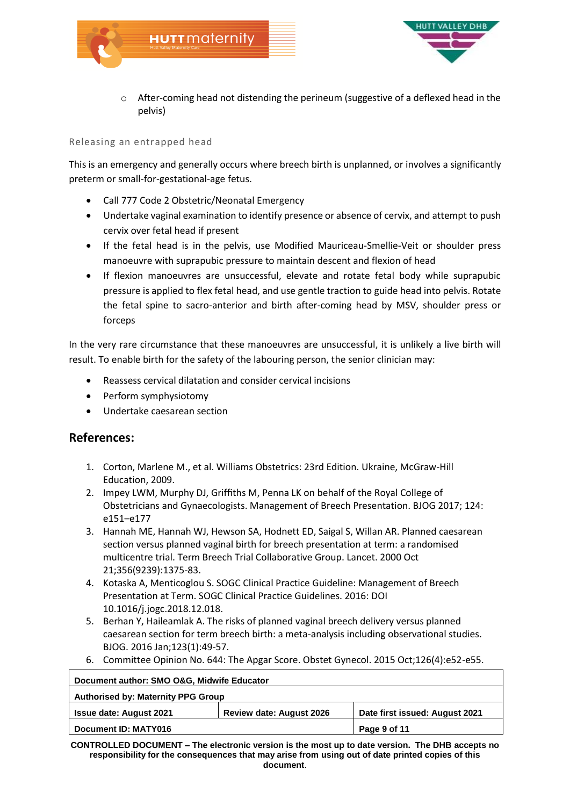



o After-coming head not distending the perineum (suggestive of a deflexed head in the pelvis)

### Releasing an entrapped head

This is an emergency and generally occurs where breech birth is unplanned, or involves a significantly preterm or small-for-gestational-age fetus.

- Call 777 Code 2 Obstetric/Neonatal Emergency
- Undertake vaginal examination to identify presence or absence of cervix, and attempt to push cervix over fetal head if present
- If the fetal head is in the pelvis, use Modified Mauriceau-Smellie-Veit or shoulder press manoeuvre with suprapubic pressure to maintain descent and flexion of head
- If flexion manoeuvres are unsuccessful, elevate and rotate fetal body while suprapubic pressure is applied to flex fetal head, and use gentle traction to guide head into pelvis. Rotate the fetal spine to sacro-anterior and birth after-coming head by MSV, shoulder press or forceps

In the very rare circumstance that these manoeuvres are unsuccessful, it is unlikely a live birth will result. To enable birth for the safety of the labouring person, the senior clinician may:

- Reassess cervical dilatation and consider cervical incisions
- Perform symphysiotomy
- Undertake caesarean section

## **References:**

- 1. Corton, Marlene M., et al. Williams Obstetrics: 23rd Edition. Ukraine, McGraw-Hill Education, 2009.
- 2. Impey LWM, Murphy DJ, Griffiths M, Penna LK on behalf of the Royal College of Obstetricians and Gynaecologists. Management of Breech Presentation. BJOG 2017; 124: e151–e177
- 3. Hannah ME, Hannah WJ, Hewson SA, Hodnett ED, Saigal S, Willan AR. Planned caesarean section versus planned vaginal birth for breech presentation at term: a randomised multicentre trial. Term Breech Trial Collaborative Group. Lancet. 2000 Oct 21;356(9239):1375-83.
- 4. Kotaska A, Menticoglou S. SOGC Clinical Practice Guideline: Management of Breech Presentation at Term. SOGC Clinical Practice Guidelines. 2016: [DOI](https://doi.org/10.1016/j.jogc.2018.12.018)  [10.1016/j.jogc.2018.12.018.](https://doi.org/10.1016/j.jogc.2018.12.018)
- 5. Berhan Y, Haileamlak A. The risks of planned vaginal breech delivery versus planned caesarean section for term breech birth: a meta-analysis including observational studies. BJOG. 2016 Jan;123(1):49-57.
- 6. Committee Opinion No. 644: The Apgar Score. Obstet Gynecol. 2015 Oct;126(4):e52-e55.

| Document author: SMO O&G, Midwife Educator |                                |
|--------------------------------------------|--------------------------------|
| <b>Authorised by: Maternity PPG Group</b>  |                                |
| <b>Review date: August 2026</b>            | Date first issued: August 2021 |
|                                            | Page 9 of 11                   |
|                                            |                                |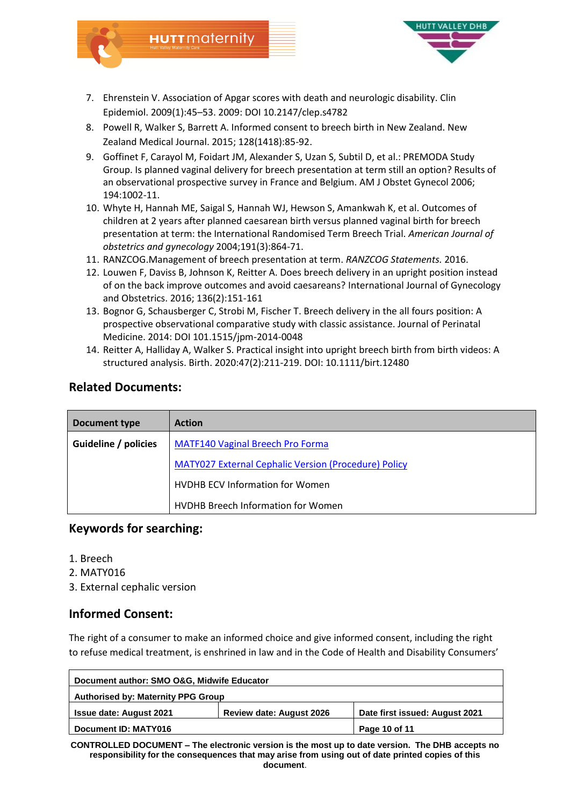

7. Ehrenstein V. Association of Apgar scores with death and neurologic disability[. Clin](https://www.ncbi.nlm.nih.gov/pmc/articles/PMC2943160/)  [Epidemiol.](https://www.ncbi.nlm.nih.gov/pmc/articles/PMC2943160/) 2009(1):45–53. 2009: DOI [10.2147/clep.s4782](https://dx.doi.org/10.2147%2Fclep.s4782)

HUTTMaternity

- 8. Powell R, Walker S, Barrett A. Informed consent to breech birth in New Zealand. New Zealand Medical Journal. 2015; 128(1418):85-92.
- 9. Goffinet F, Carayol M, Foidart JM, Alexander S, Uzan S, Subtil D, et al.: PREMODA Study Group. Is planned vaginal delivery for breech presentation at term still an option? Results of an observational prospective survey in France and Belgium. AM J Obstet Gynecol 2006; 194:1002-11.
- 10. Whyte H, Hannah ME, Saigal S, Hannah WJ, Hewson S, Amankwah K, et al. Outcomes of children at 2 years after planned caesarean birth versus planned vaginal birth for breech presentation at term: the International Randomised Term Breech Trial. *American Journal of obstetrics and gynecology* 2004;191(3):864-71.
- 11. RANZCOG.Management of breech presentation at term. *RANZCOG Statements.* 2016.
- 12. Louwen F, Daviss B, Johnson K, Reitter A. Does breech delivery in an upright position instead of on the back improve outcomes and avoid caesareans? International Journal of Gynecology and Obstetrics. 2016; 136(2):151-161
- 13. Bognor G, Schausberger C, Strobi M, Fischer T. Breech delivery in the all fours position: A prospective observational comparative study with classic assistance. Journal of Perinatal Medicine. 2014: DOI 101.1515/jpm-2014-0048
- 14. Reitter A, Halliday A, Walker S. Practical insight into upright breech birth from birth videos: A structured analysis. Birth. 2020:47(2):211-219. DOI: 10.1111/birt.12480

# **Related Documents:**

| Document type        | <b>Action</b>                                               |
|----------------------|-------------------------------------------------------------|
| Guideline / policies | <b>MATF140 Vaginal Breech Pro Forma</b>                     |
|                      | <b>MATY027 External Cephalic Version (Procedure) Policy</b> |
|                      | <b>HVDHB ECV Information for Women</b>                      |
|                      | <b>HVDHB Breech Information for Women</b>                   |

## **Keywords for searching:**

- 1. Breech
- 2. MATY016
- 3. External cephalic version

# **Informed Consent:**

The right of a consumer to make an informed choice and give informed consent, including the right to refuse medical treatment, is enshrined in law and in the Code of Health and Disability Consumers'

| Document author: SMO O&G, Midwife Educator |                                 |                                |  |  |
|--------------------------------------------|---------------------------------|--------------------------------|--|--|
| <b>Authorised by: Maternity PPG Group</b>  |                                 |                                |  |  |
| <b>Issue date: August 2021</b>             | <b>Review date: August 2026</b> | Date first issued: August 2021 |  |  |
| Document ID: MATY016                       |                                 | Page 10 of 11                  |  |  |